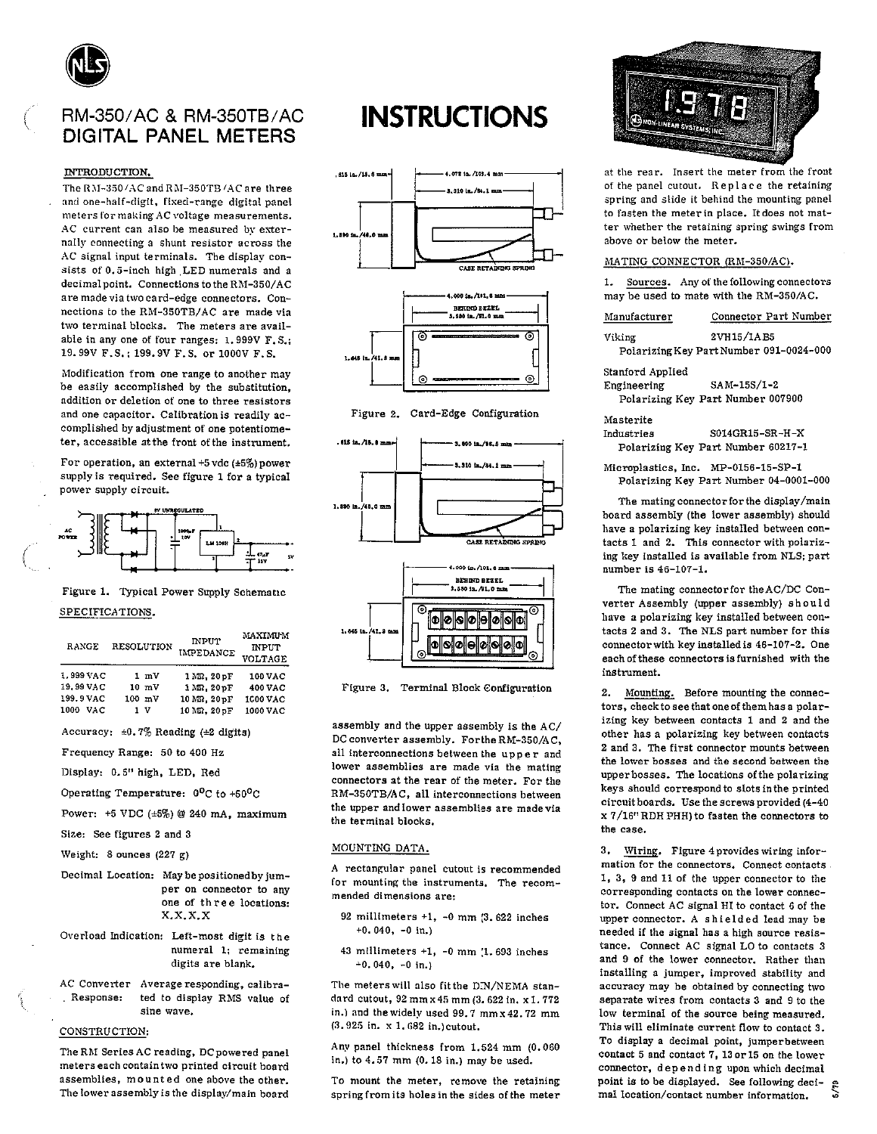

## RM-350/AC & RM-350TB/AC DIGITAL PANFI METERS

### INTRODUCTION.

The RM-350/AC and RM-350TB/AC are three and one-half-digit, fixed-range digital panel meters for making AC voltage measurements. AC current can also be measured by externally connecting a shunt resistor across the AC signal input terminals. The display consists of 0.5-inch high LED numerals and a decimal point. Connections to the RM-350/AC are made via two card-edge connectors. Connections to the RM-350TB/AC are made via two terminal blocks. The meters are available in any one of four ranges: 1.999V F.S.; 19.99V F.S.; 199.9V F.S. or 1000V F.S.

Modification from one range to another may be easily accomplished by the substitution, addition or deletion of one to three resistors and one capacitor. Calibration is readily accomplished by adjustment of one potentiometer, accessible at the front of the instrument.

For operation, an external +5 vdc ( $\pm$ 5%) power supply is required. See figure 1 for a typical power supply circuit.



### Figure 1. Typical Power Supply Schematic SPECIFICATIONS.

| RANGE       | <b>RESOLUTION</b> | <b>INPUT</b><br>IMPEDANCE | <b>MAXIMUM</b><br><b>INPUT</b><br><b>VOLTAGE</b> |
|-------------|-------------------|---------------------------|--------------------------------------------------|
| 1.999 VAC   | 1 mV              | 1 MQ. 20 pF               | 100 VAC                                          |
| 19.99 VAC   | $10 \, \text{mV}$ | $1 M\Omega$ . $20 pF$     | 400 VAC                                          |
| 199.9 VAC   | $100$ mV          | 10 MR. 20 pF              | 1000 VAC                                         |
| 1000<br>VAC | 1 V               | 10 MQ. 20 pF              | 1000 VAC                                         |

Accuracy:  $\pm 0.7\%$  Reading ( $\pm 2$  digits)

- Frequency Range: 50 to 400 Hz
- Display: 0.5" high, LED, Red
- Operating Temperature: 0°C to +50°C
- Power:  $+5$  VDC  $(*5\%)$  @ 240 mA, maximum

Size: See figures 2 and 3

Weight: 8 ounces  $(227 g)$ 

- Decimal Location: May be positioned by jumper on connector to any one of three locations:  $X, X, X, X$
- Overload Indication: Left-most digit is the numeral 1; remaining digits are blank.
- AC Converter Average responding, calibra-Response: ted to display RMS value of sine wave.

### CONSTRUCTION:

The RM Series AC reading, DC powered panel meters each contain two printed circuit board assemblies, mounted one above the other. The lower assembly is the display/main board

# **INSTRUCTIONS**









Figure 3. Terminal Block Configuration

assembly and the upper assembly is the AC/ DC converter assembly. For the RM-350/AC, all interconnections between the upper and lower assemblies are made via the mating connectors at the rear of the meter. For the RM-350TB/AC, all interconnections between the upper and lower assemblies are made via the terminal blocks.

### MOUNTING DATA.

A rectangular panel cutout is recommended for mounting the instruments. The recommended dimensions are:

- 92 millimeters  $+1$ ,  $-0$  mm (3.622 inches  $+0.040, -0$  in.)
- 43 millimeters  $+1$ ,  $-0$  mm (1.693 inches  $+0.040$ ,  $-0$  in.)

The meters will also fit the DIN/NEMA standard cutout, 92 mm x 45 mm (3. 622 in. x 1. 772 in.) and the widely used 99.7 mm x 42.72 mm (3.925 in. x 1.682 in.) cutout.

Any panel thickness from 1.524 mm (0.060 in.) to 4.57 mm (0.18 in.) may be used.

To mount the meter, remove the retaining spring from its holes in the sides of the meter



at the rear. Insert the meter from the front of the panel cutout. Replace the retaining spring and slide it behind the mounting panel to fasten the meter in place. It does not matter whether the retaining spring swings from above or below the meter.

### MATING CONNECTOR (RM-350/AC).

1. Sources. Any of the following connectors may be used to mate with the RM-350/AC.

| Manufacturer     | Connector Part Number                   |
|------------------|-----------------------------------------|
| Viking           | 2VH15/1AB5                              |
|                  | Polarizing Key Part Number 091-0024-000 |
| Stanford Applied |                                         |
| Engineering      | SAM-15S/1-2                             |
|                  | Polarizing Key Part Number 007900       |
| Masterite        |                                         |
| Industries       | S014GR15-SR-H-X                         |
|                  | Polarizing Key Part Number 60217-1      |
|                  |                                         |

Microplastics, Inc. MP-0156-15-SP-1 Polarizing Key Part Number 04-0001-000

The mating connector for the display/main board assembly (the lower assembly) should have a polarizing key installed between contacts 1 and 2. This connector with polarizing key installed is available from NLS; part number is 46-107-1.

The mating connector for the AC/DC Converter Assembly (upper assembly) should have a polarizing key installed between contacts 2 and 3. The NLS part number for this connector with key installed is 46-107-2. One each of these connectors is furnished with the instrument.

 $2.$ Mounting. Before mounting the connectors, check to see that one of them has a polarizing key between contacts 1 and 2 and the other has a polarizing key between contacts 2 and 3. The first connector mounts between the lower bosses and the second between the upper bosses. The locations of the polarizing keys should correspond to slots in the printed circuit boards. Use the screws provided (4-40 x 7/16" RDH PHH) to fasten the connectors to the case.

Wiring. Figure 4 provides wiring infor- $3.$ mation for the connectors. Connect contacts 1.3.9 and 11 of the upper connector to the corresponding contacts on the lower connector. Connect AC signal HI to contact 6 of the upper connector. A shielded lead may be needed if the signal has a high source resistance. Connect AC signal LO to contacts 3 and 9 of the lower connector. Rather than installing a jumper, improved stability and accuracy may be obtained by connecting two separate wires from contacts 3 and 9 to the low terminal of the source being measured. This will eliminate current flow to contact 3. To display a decimal point, jumperbetween contact 5 and contact 7, 13 or 15 on the lower connector, depending upon which decimal point is to be displayed. See following decimal location/contact number information.